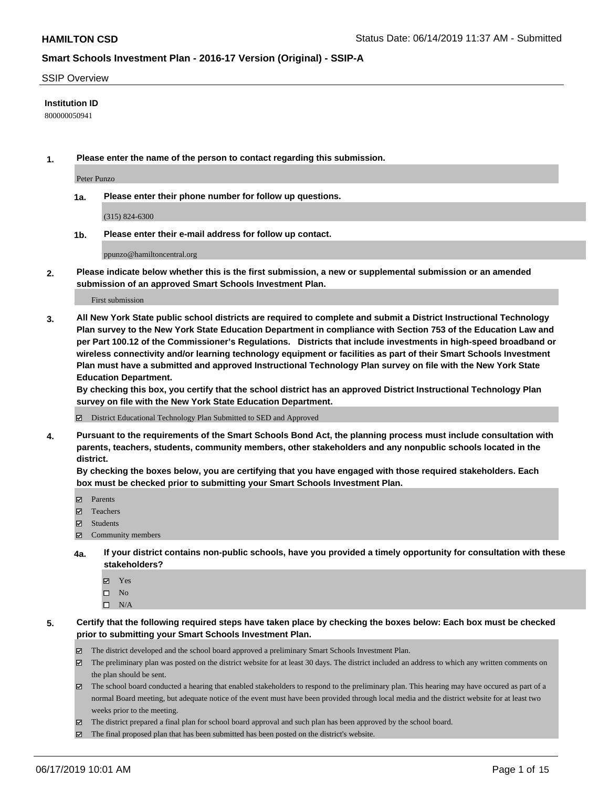#### SSIP Overview

#### **Institution ID**

800000050941

**1. Please enter the name of the person to contact regarding this submission.**

Peter Punzo

**1a. Please enter their phone number for follow up questions.**

(315) 824-6300

**1b. Please enter their e-mail address for follow up contact.**

ppunzo@hamiltoncentral.org

**2. Please indicate below whether this is the first submission, a new or supplemental submission or an amended submission of an approved Smart Schools Investment Plan.**

First submission

**3. All New York State public school districts are required to complete and submit a District Instructional Technology Plan survey to the New York State Education Department in compliance with Section 753 of the Education Law and per Part 100.12 of the Commissioner's Regulations. Districts that include investments in high-speed broadband or wireless connectivity and/or learning technology equipment or facilities as part of their Smart Schools Investment Plan must have a submitted and approved Instructional Technology Plan survey on file with the New York State Education Department.** 

**By checking this box, you certify that the school district has an approved District Instructional Technology Plan survey on file with the New York State Education Department.**

District Educational Technology Plan Submitted to SED and Approved

**4. Pursuant to the requirements of the Smart Schools Bond Act, the planning process must include consultation with parents, teachers, students, community members, other stakeholders and any nonpublic schools located in the district.** 

**By checking the boxes below, you are certifying that you have engaged with those required stakeholders. Each box must be checked prior to submitting your Smart Schools Investment Plan.**

- Parents
- Teachers
- Students
- Community members
- **4a. If your district contains non-public schools, have you provided a timely opportunity for consultation with these stakeholders?**
	- Yes
	- $\square$  No
	- $\square$  N/A
- **5. Certify that the following required steps have taken place by checking the boxes below: Each box must be checked prior to submitting your Smart Schools Investment Plan.**
	- The district developed and the school board approved a preliminary Smart Schools Investment Plan.
	- $\boxtimes$  The preliminary plan was posted on the district website for at least 30 days. The district included an address to which any written comments on the plan should be sent.
	- $\boxtimes$  The school board conducted a hearing that enabled stakeholders to respond to the preliminary plan. This hearing may have occured as part of a normal Board meeting, but adequate notice of the event must have been provided through local media and the district website for at least two weeks prior to the meeting.
	- The district prepared a final plan for school board approval and such plan has been approved by the school board.
	- $\boxtimes$  The final proposed plan that has been submitted has been posted on the district's website.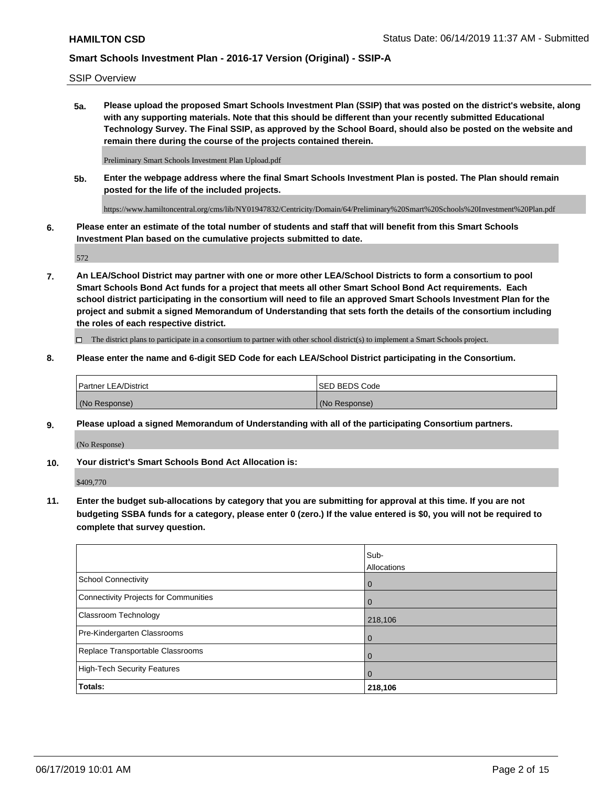SSIP Overview

**5a. Please upload the proposed Smart Schools Investment Plan (SSIP) that was posted on the district's website, along with any supporting materials. Note that this should be different than your recently submitted Educational Technology Survey. The Final SSIP, as approved by the School Board, should also be posted on the website and remain there during the course of the projects contained therein.**

Preliminary Smart Schools Investment Plan Upload.pdf

**5b. Enter the webpage address where the final Smart Schools Investment Plan is posted. The Plan should remain posted for the life of the included projects.**

https://www.hamiltoncentral.org/cms/lib/NY01947832/Centricity/Domain/64/Preliminary%20Smart%20Schools%20Investment%20Plan.pdf

**6. Please enter an estimate of the total number of students and staff that will benefit from this Smart Schools Investment Plan based on the cumulative projects submitted to date.**

572

**7. An LEA/School District may partner with one or more other LEA/School Districts to form a consortium to pool Smart Schools Bond Act funds for a project that meets all other Smart School Bond Act requirements. Each school district participating in the consortium will need to file an approved Smart Schools Investment Plan for the project and submit a signed Memorandum of Understanding that sets forth the details of the consortium including the roles of each respective district.**

 $\Box$  The district plans to participate in a consortium to partner with other school district(s) to implement a Smart Schools project.

**8. Please enter the name and 6-digit SED Code for each LEA/School District participating in the Consortium.**

| <b>Partner LEA/District</b> | <b>ISED BEDS Code</b> |
|-----------------------------|-----------------------|
| (No Response)               | (No Response)         |

#### **9. Please upload a signed Memorandum of Understanding with all of the participating Consortium partners.**

(No Response)

**10. Your district's Smart Schools Bond Act Allocation is:**

\$409,770

**11. Enter the budget sub-allocations by category that you are submitting for approval at this time. If you are not budgeting SSBA funds for a category, please enter 0 (zero.) If the value entered is \$0, you will not be required to complete that survey question.**

|                                       | Sub-<br><b>Allocations</b> |
|---------------------------------------|----------------------------|
| School Connectivity                   | $\overline{0}$             |
| Connectivity Projects for Communities | $\Omega$                   |
| <b>Classroom Technology</b>           | 218,106                    |
| Pre-Kindergarten Classrooms           | $\overline{0}$             |
| Replace Transportable Classrooms      |                            |
| High-Tech Security Features           | 0                          |
| Totals:                               | 218,106                    |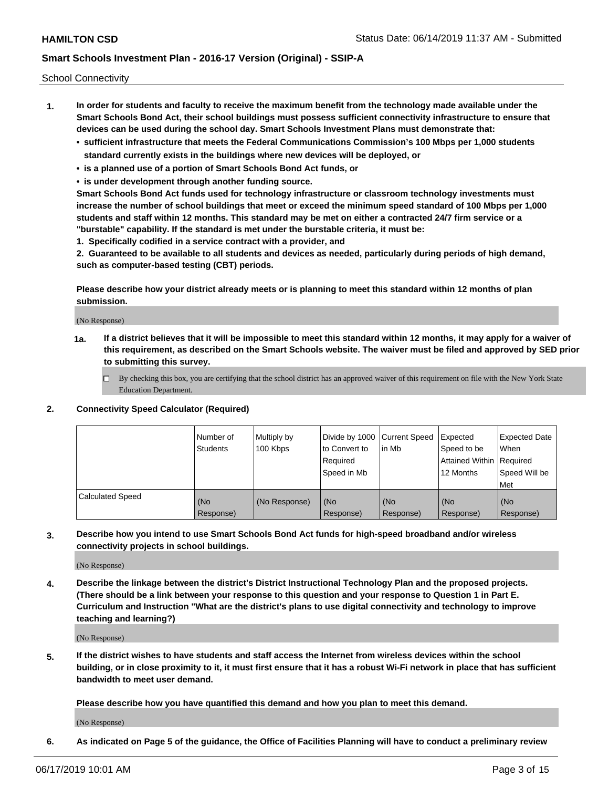School Connectivity

- **1. In order for students and faculty to receive the maximum benefit from the technology made available under the Smart Schools Bond Act, their school buildings must possess sufficient connectivity infrastructure to ensure that devices can be used during the school day. Smart Schools Investment Plans must demonstrate that:**
	- **• sufficient infrastructure that meets the Federal Communications Commission's 100 Mbps per 1,000 students standard currently exists in the buildings where new devices will be deployed, or**
	- **• is a planned use of a portion of Smart Schools Bond Act funds, or**
	- **• is under development through another funding source.**

**Smart Schools Bond Act funds used for technology infrastructure or classroom technology investments must increase the number of school buildings that meet or exceed the minimum speed standard of 100 Mbps per 1,000 students and staff within 12 months. This standard may be met on either a contracted 24/7 firm service or a "burstable" capability. If the standard is met under the burstable criteria, it must be:**

**1. Specifically codified in a service contract with a provider, and**

**2. Guaranteed to be available to all students and devices as needed, particularly during periods of high demand, such as computer-based testing (CBT) periods.**

**Please describe how your district already meets or is planning to meet this standard within 12 months of plan submission.**

(No Response)

**1a. If a district believes that it will be impossible to meet this standard within 12 months, it may apply for a waiver of this requirement, as described on the Smart Schools website. The waiver must be filed and approved by SED prior to submitting this survey.**

 $\Box$  By checking this box, you are certifying that the school district has an approved waiver of this requirement on file with the New York State Education Department.

#### **2. Connectivity Speed Calculator (Required)**

|                         | l Number of<br>Students | Multiply by<br>100 Kbps | Divide by 1000 Current Speed<br>to Convert to<br>Required<br>l Speed in Mb | lin Mb           | Expected<br>Speed to be<br>Attained Within   Required<br>12 Months | <b>Expected Date</b><br>When<br>Speed Will be<br>Met |
|-------------------------|-------------------------|-------------------------|----------------------------------------------------------------------------|------------------|--------------------------------------------------------------------|------------------------------------------------------|
| <b>Calculated Speed</b> | (No<br>Response)        | (No Response)           | (No<br>Response)                                                           | (No<br>Response) | (No<br>Response)                                                   | (No<br>Response)                                     |

**3. Describe how you intend to use Smart Schools Bond Act funds for high-speed broadband and/or wireless connectivity projects in school buildings.**

(No Response)

**4. Describe the linkage between the district's District Instructional Technology Plan and the proposed projects. (There should be a link between your response to this question and your response to Question 1 in Part E. Curriculum and Instruction "What are the district's plans to use digital connectivity and technology to improve teaching and learning?)**

(No Response)

**5. If the district wishes to have students and staff access the Internet from wireless devices within the school building, or in close proximity to it, it must first ensure that it has a robust Wi-Fi network in place that has sufficient bandwidth to meet user demand.**

**Please describe how you have quantified this demand and how you plan to meet this demand.**

(No Response)

**6. As indicated on Page 5 of the guidance, the Office of Facilities Planning will have to conduct a preliminary review**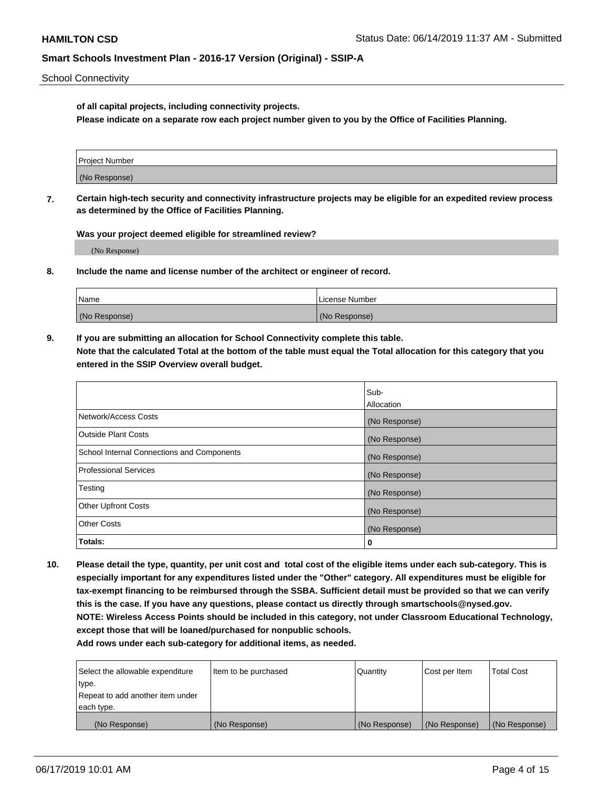School Connectivity

**of all capital projects, including connectivity projects.**

**Please indicate on a separate row each project number given to you by the Office of Facilities Planning.**

| Project Number |  |
|----------------|--|
|                |  |
| (No Response)  |  |
|                |  |

**7. Certain high-tech security and connectivity infrastructure projects may be eligible for an expedited review process as determined by the Office of Facilities Planning.**

**Was your project deemed eligible for streamlined review?**

(No Response)

**8. Include the name and license number of the architect or engineer of record.**

| Name          | License Number |
|---------------|----------------|
| (No Response) | (No Response)  |

**9. If you are submitting an allocation for School Connectivity complete this table. Note that the calculated Total at the bottom of the table must equal the Total allocation for this category that you entered in the SSIP Overview overall budget.** 

|                                            | Sub-          |
|--------------------------------------------|---------------|
|                                            | Allocation    |
| Network/Access Costs                       | (No Response) |
| Outside Plant Costs                        | (No Response) |
| School Internal Connections and Components | (No Response) |
| <b>Professional Services</b>               | (No Response) |
| Testing                                    | (No Response) |
| <b>Other Upfront Costs</b>                 | (No Response) |
| <b>Other Costs</b>                         | (No Response) |
| Totals:                                    | 0             |

**10. Please detail the type, quantity, per unit cost and total cost of the eligible items under each sub-category. This is especially important for any expenditures listed under the "Other" category. All expenditures must be eligible for tax-exempt financing to be reimbursed through the SSBA. Sufficient detail must be provided so that we can verify this is the case. If you have any questions, please contact us directly through smartschools@nysed.gov. NOTE: Wireless Access Points should be included in this category, not under Classroom Educational Technology, except those that will be loaned/purchased for nonpublic schools.**

| Select the allowable expenditure | Item to be purchased | Quantity      | <b>Cost per Item</b> | <b>Total Cost</b> |
|----------------------------------|----------------------|---------------|----------------------|-------------------|
| type.                            |                      |               |                      |                   |
| Repeat to add another item under |                      |               |                      |                   |
| each type.                       |                      |               |                      |                   |
| (No Response)                    | (No Response)        | (No Response) | (No Response)        | (No Response)     |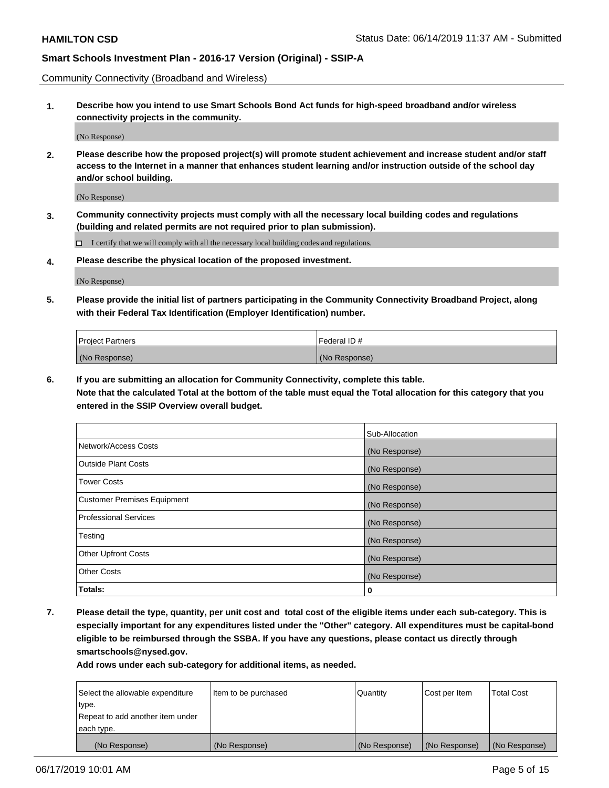Community Connectivity (Broadband and Wireless)

**1. Describe how you intend to use Smart Schools Bond Act funds for high-speed broadband and/or wireless connectivity projects in the community.**

(No Response)

**2. Please describe how the proposed project(s) will promote student achievement and increase student and/or staff access to the Internet in a manner that enhances student learning and/or instruction outside of the school day and/or school building.**

(No Response)

**3. Community connectivity projects must comply with all the necessary local building codes and regulations (building and related permits are not required prior to plan submission).**

 $\Box$  I certify that we will comply with all the necessary local building codes and regulations.

**4. Please describe the physical location of the proposed investment.**

(No Response)

**5. Please provide the initial list of partners participating in the Community Connectivity Broadband Project, along with their Federal Tax Identification (Employer Identification) number.**

| <b>Project Partners</b> | Federal ID#   |
|-------------------------|---------------|
| (No Response)           | (No Response) |

**6. If you are submitting an allocation for Community Connectivity, complete this table.**

**Note that the calculated Total at the bottom of the table must equal the Total allocation for this category that you entered in the SSIP Overview overall budget.**

|                             | Sub-Allocation |
|-----------------------------|----------------|
| Network/Access Costs        | (No Response)  |
| <b>Outside Plant Costs</b>  | (No Response)  |
| <b>Tower Costs</b>          | (No Response)  |
| Customer Premises Equipment | (No Response)  |
| Professional Services       | (No Response)  |
| Testing                     | (No Response)  |
| <b>Other Upfront Costs</b>  | (No Response)  |
| <b>Other Costs</b>          | (No Response)  |
| Totals:                     | 0              |

**7. Please detail the type, quantity, per unit cost and total cost of the eligible items under each sub-category. This is especially important for any expenditures listed under the "Other" category. All expenditures must be capital-bond eligible to be reimbursed through the SSBA. If you have any questions, please contact us directly through smartschools@nysed.gov.**

| Select the allowable expenditure | Item to be purchased | Quantity      | Cost per Item | <b>Total Cost</b> |
|----------------------------------|----------------------|---------------|---------------|-------------------|
| type.                            |                      |               |               |                   |
| Repeat to add another item under |                      |               |               |                   |
| each type.                       |                      |               |               |                   |
| (No Response)                    | (No Response)        | (No Response) | (No Response) | (No Response)     |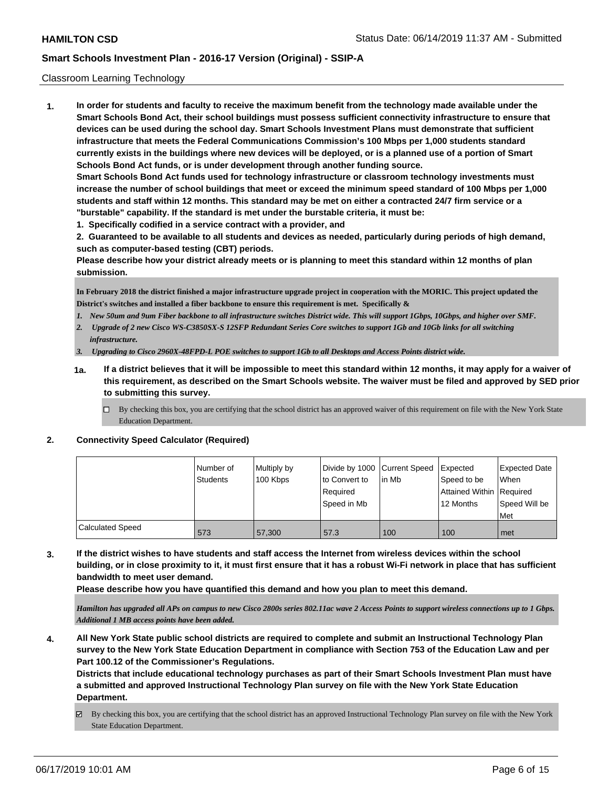#### Classroom Learning Technology

**1. In order for students and faculty to receive the maximum benefit from the technology made available under the Smart Schools Bond Act, their school buildings must possess sufficient connectivity infrastructure to ensure that devices can be used during the school day. Smart Schools Investment Plans must demonstrate that sufficient infrastructure that meets the Federal Communications Commission's 100 Mbps per 1,000 students standard currently exists in the buildings where new devices will be deployed, or is a planned use of a portion of Smart Schools Bond Act funds, or is under development through another funding source. Smart Schools Bond Act funds used for technology infrastructure or classroom technology investments must increase the number of school buildings that meet or exceed the minimum speed standard of 100 Mbps per 1,000**

**students and staff within 12 months. This standard may be met on either a contracted 24/7 firm service or a "burstable" capability. If the standard is met under the burstable criteria, it must be:**

**1. Specifically codified in a service contract with a provider, and**

**2. Guaranteed to be available to all students and devices as needed, particularly during periods of high demand, such as computer-based testing (CBT) periods.**

**Please describe how your district already meets or is planning to meet this standard within 12 months of plan submission.**

**In February 2018 the district finished a major infrastructure upgrade project in cooperation with the MORIC. This project updated the District's switches and installed a fiber backbone to ensure this requirement is met. Specifically &**

- *1. New 50um and 9um Fiber backbone to all infrastructure switches District wide. This will support 1Gbps, 10Gbps, and higher over SMF.*
- *2. Upgrade of 2 new Cisco WS-C3850SX-S 12SFP Redundant Series Core switches to support 1Gb and 10Gb links for all switching infrastructure.*
- *3. Upgrading to Cisco 2960X-48FPD-L POE switches to support 1Gb to all Desktops and Access Points district wide.*
- **1a. If a district believes that it will be impossible to meet this standard within 12 months, it may apply for a waiver of this requirement, as described on the Smart Schools website. The waiver must be filed and approved by SED prior to submitting this survey.**
	- By checking this box, you are certifying that the school district has an approved waiver of this requirement on file with the New York State Education Department.

#### **2. Connectivity Speed Calculator (Required)**

|                         | l Number of<br><b>Students</b> | Multiply by<br>100 Kbps | to Convert to<br>Required<br>Speed in Mb | Divide by 1000 Current Speed Expected<br>lin Mb | Speed to be<br>Attained Within Required<br>12 Months | Expected Date<br>When<br>Speed Will be |
|-------------------------|--------------------------------|-------------------------|------------------------------------------|-------------------------------------------------|------------------------------------------------------|----------------------------------------|
|                         |                                |                         |                                          |                                                 |                                                      | Met                                    |
| <b>Calculated Speed</b> | 573                            | 57,300                  | 57.3                                     | 100                                             | 100                                                  | met                                    |

**3. If the district wishes to have students and staff access the Internet from wireless devices within the school building, or in close proximity to it, it must first ensure that it has a robust Wi-Fi network in place that has sufficient bandwidth to meet user demand.**

**Please describe how you have quantified this demand and how you plan to meet this demand.**

*Hamilton has upgraded all APs on campus to new Cisco 2800s series 802.11ac wave 2 Access Points to support wireless connections up to 1 Gbps. Additional 1 MB access points have been added.*

**4. All New York State public school districts are required to complete and submit an Instructional Technology Plan survey to the New York State Education Department in compliance with Section 753 of the Education Law and per Part 100.12 of the Commissioner's Regulations.**

**Districts that include educational technology purchases as part of their Smart Schools Investment Plan must have a submitted and approved Instructional Technology Plan survey on file with the New York State Education Department.**

By checking this box, you are certifying that the school district has an approved Instructional Technology Plan survey on file with the New York State Education Department.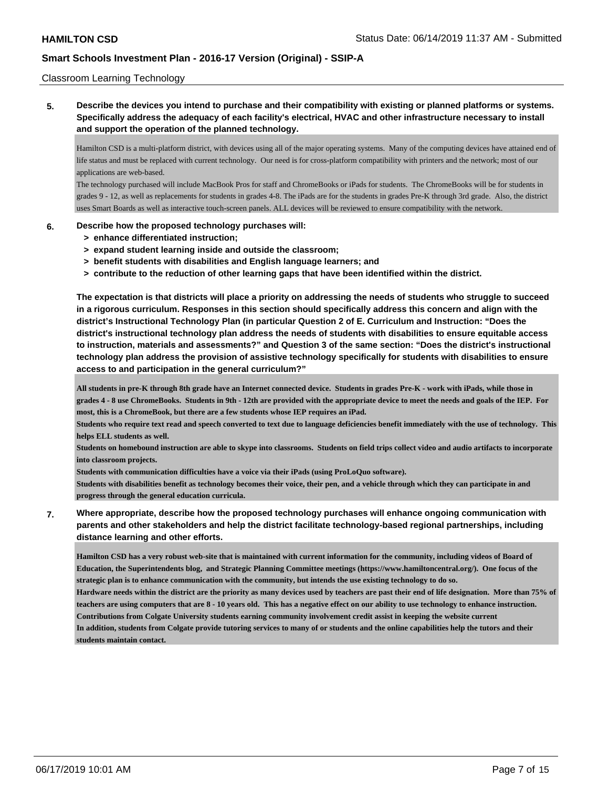#### Classroom Learning Technology

**5. Describe the devices you intend to purchase and their compatibility with existing or planned platforms or systems. Specifically address the adequacy of each facility's electrical, HVAC and other infrastructure necessary to install and support the operation of the planned technology.**

Hamilton CSD is a multi-platform district, with devices using all of the major operating systems. Many of the computing devices have attained end of life status and must be replaced with current technology. Our need is for cross-platform compatibility with printers and the network; most of our applications are web-based.

The technology purchased will include MacBook Pros for staff and ChromeBooks or iPads for students. The ChromeBooks will be for students in grades 9 - 12, as well as replacements for students in grades 4-8. The iPads are for the students in grades Pre-K through 3rd grade. Also, the district uses Smart Boards as well as interactive touch-screen panels. ALL devices will be reviewed to ensure compatibility with the network.

#### **6. Describe how the proposed technology purchases will:**

- **> enhance differentiated instruction;**
- **> expand student learning inside and outside the classroom;**
- **> benefit students with disabilities and English language learners; and**
- **> contribute to the reduction of other learning gaps that have been identified within the district.**

**The expectation is that districts will place a priority on addressing the needs of students who struggle to succeed in a rigorous curriculum. Responses in this section should specifically address this concern and align with the district's Instructional Technology Plan (in particular Question 2 of E. Curriculum and Instruction: "Does the district's instructional technology plan address the needs of students with disabilities to ensure equitable access to instruction, materials and assessments?" and Question 3 of the same section: "Does the district's instructional technology plan address the provision of assistive technology specifically for students with disabilities to ensure access to and participation in the general curriculum?"**

**All students in pre-K through 8th grade have an Internet connected device. Students in grades Pre-K - work with iPads, while those in grades 4 - 8 use ChromeBooks. Students in 9th - 12th are provided with the appropriate device to meet the needs and goals of the IEP. For most, this is a ChromeBook, but there are a few students whose IEP requires an iPad.**

**Students who require text read and speech converted to text due to language deficiencies benefit immediately with the use of technology. This helps ELL students as well.** 

**Students on homebound instruction are able to skype into classrooms. Students on field trips collect video and audio artifacts to incorporate into classroom projects.**

**Students with communication difficulties have a voice via their iPads (using ProLoQuo software).**

**Students with disabilities benefit as technology becomes their voice, their pen, and a vehicle through which they can participate in and progress through the general education curricula.**

**7. Where appropriate, describe how the proposed technology purchases will enhance ongoing communication with parents and other stakeholders and help the district facilitate technology-based regional partnerships, including distance learning and other efforts.**

**Hamilton CSD has a very robust web-site that is maintained with current information for the community, including videos of Board of Education, the Superintendents blog, and Strategic Planning Committee meetings (https://www.hamiltoncentral.org/). One focus of the strategic plan is to enhance communication with the community, but intends the use existing technology to do so. Hardware needs within the district are the priority as many devices used by teachers are past their end of life designation. More than 75% of teachers are using computers that are 8 - 10 years old. This has a negative effect on our ability to use technology to enhance instruction. Contributions from Colgate University students earning community involvement credit assist in keeping the website current In addition, students from Colgate provide tutoring services to many of or students and the online capabilities help the tutors and their students maintain contact.**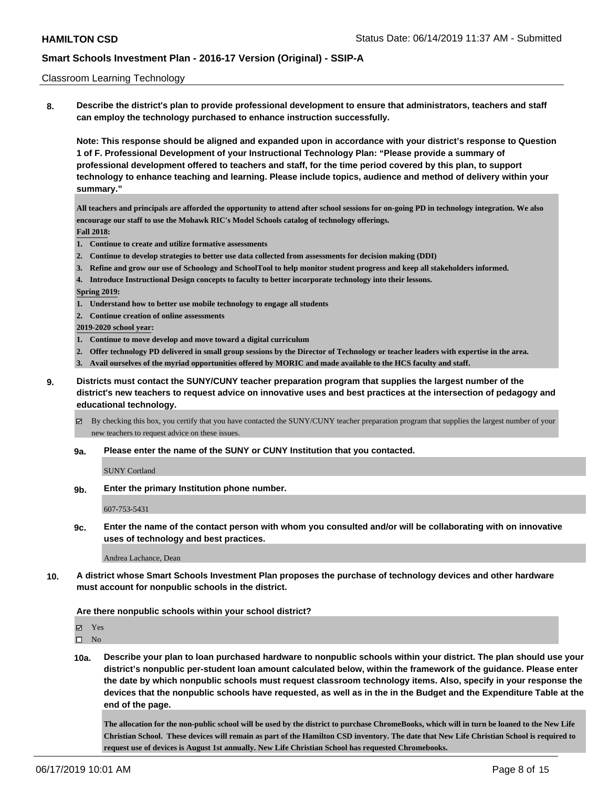#### Classroom Learning Technology

**8. Describe the district's plan to provide professional development to ensure that administrators, teachers and staff can employ the technology purchased to enhance instruction successfully.**

**Note: This response should be aligned and expanded upon in accordance with your district's response to Question 1 of F. Professional Development of your Instructional Technology Plan: "Please provide a summary of professional development offered to teachers and staff, for the time period covered by this plan, to support technology to enhance teaching and learning. Please include topics, audience and method of delivery within your summary."**

**All teachers and principals are afforded the opportunity to attend after school sessions for on-going PD in technology integration. We also encourage our staff to use the Mohawk RIC's Model Schools catalog of technology offerings. Fall 2018:**

- **1. Continue to create and utilize formative assessments**
- **2. Continue to develop strategies to better use data collected from assessments for decision making (DDI)**
- **3. Refine and grow our use of Schoology and SchoolTool to help monitor student progress and keep all stakeholders informed.**
- **4. Introduce Instructional Design concepts to faculty to better incorporate technology into their lessons.**

#### **Spring 2019:**

- **1. Understand how to better use mobile technology to engage all students**
- **2. Continue creation of online assessments**

**2019-2020 school year:**

- **1. Continue to move develop and move toward a digital curriculum**
- **2. Offer technology PD delivered in small group sessions by the Director of Technology or teacher leaders with expertise in the area.**
- **3. Avail ourselves of the myriad opportunities offered by MORIC and made available to the HCS faculty and staff.**
- **9. Districts must contact the SUNY/CUNY teacher preparation program that supplies the largest number of the district's new teachers to request advice on innovative uses and best practices at the intersection of pedagogy and educational technology.**
	- By checking this box, you certify that you have contacted the SUNY/CUNY teacher preparation program that supplies the largest number of your new teachers to request advice on these issues.
	- **9a. Please enter the name of the SUNY or CUNY Institution that you contacted.**

SUNY Cortland

**9b. Enter the primary Institution phone number.**

607-753-5431

**9c. Enter the name of the contact person with whom you consulted and/or will be collaborating with on innovative uses of technology and best practices.**

Andrea Lachance, Dean

**10. A district whose Smart Schools Investment Plan proposes the purchase of technology devices and other hardware must account for nonpublic schools in the district.**

#### **Are there nonpublic schools within your school district?**

Yes

 $\square$  No

**10a. Describe your plan to loan purchased hardware to nonpublic schools within your district. The plan should use your district's nonpublic per-student loan amount calculated below, within the framework of the guidance. Please enter the date by which nonpublic schools must request classroom technology items. Also, specify in your response the devices that the nonpublic schools have requested, as well as in the in the Budget and the Expenditure Table at the end of the page.**

**The allocation for the non-public school will be used by the district to purchase ChromeBooks, which will in turn be loaned to the New Life Christian School. These devices will remain as part of the Hamilton CSD inventory. The date that New Life Christian School is required to request use of devices is August 1st annually. New Life Christian School has requested Chromebooks.**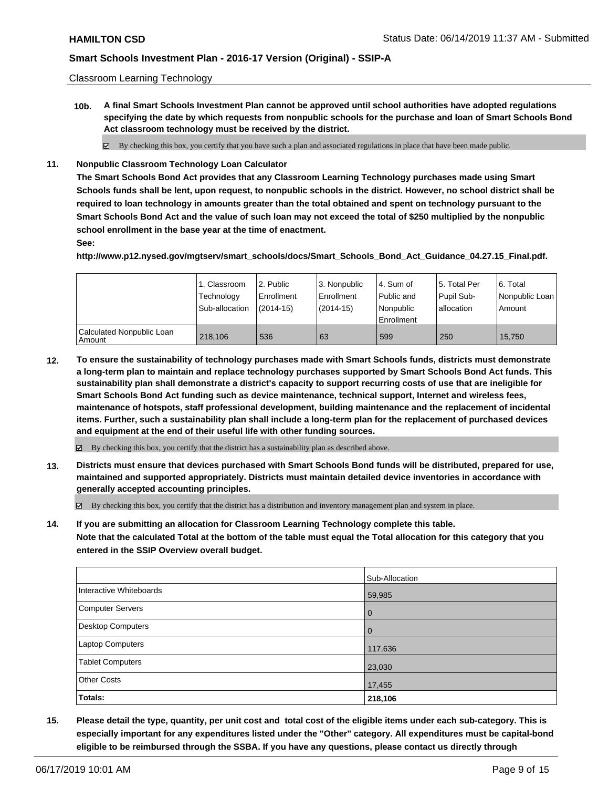Classroom Learning Technology

**10b. A final Smart Schools Investment Plan cannot be approved until school authorities have adopted regulations specifying the date by which requests from nonpublic schools for the purchase and loan of Smart Schools Bond Act classroom technology must be received by the district.**

By checking this box, you certify that you have such a plan and associated regulations in place that have been made public.

**11. Nonpublic Classroom Technology Loan Calculator**

**The Smart Schools Bond Act provides that any Classroom Learning Technology purchases made using Smart Schools funds shall be lent, upon request, to nonpublic schools in the district. However, no school district shall be required to loan technology in amounts greater than the total obtained and spent on technology pursuant to the Smart Schools Bond Act and the value of such loan may not exceed the total of \$250 multiplied by the nonpublic school enrollment in the base year at the time of enactment.**

#### **See:**

**http://www.p12.nysed.gov/mgtserv/smart\_schools/docs/Smart\_Schools\_Bond\_Act\_Guidance\_04.27.15\_Final.pdf.**

|                                       | 1. Classroom<br>Technology<br>Sub-allocation | l 2. Public<br>l Enrollment<br>$(2014 - 15)$ | l 3. Nonpublic<br>Enrollment<br>$(2014-15)$ | l 4. Sum of<br>Public and<br>l Nonpublic<br>Enrollment | 15. Total Per<br>Pupil Sub-<br>allocation | l 6. Total<br>  Nonpublic Loan  <br>Amount |
|---------------------------------------|----------------------------------------------|----------------------------------------------|---------------------------------------------|--------------------------------------------------------|-------------------------------------------|--------------------------------------------|
| Calculated Nonpublic Loan<br>l Amount | 218,106                                      | 536                                          | 63                                          | 599                                                    | 250                                       | 15.750                                     |

**12. To ensure the sustainability of technology purchases made with Smart Schools funds, districts must demonstrate a long-term plan to maintain and replace technology purchases supported by Smart Schools Bond Act funds. This sustainability plan shall demonstrate a district's capacity to support recurring costs of use that are ineligible for Smart Schools Bond Act funding such as device maintenance, technical support, Internet and wireless fees, maintenance of hotspots, staff professional development, building maintenance and the replacement of incidental items. Further, such a sustainability plan shall include a long-term plan for the replacement of purchased devices and equipment at the end of their useful life with other funding sources.**

 $\boxtimes$  By checking this box, you certify that the district has a sustainability plan as described above.

**13. Districts must ensure that devices purchased with Smart Schools Bond funds will be distributed, prepared for use, maintained and supported appropriately. Districts must maintain detailed device inventories in accordance with generally accepted accounting principles.**

By checking this box, you certify that the district has a distribution and inventory management plan and system in place.

**14. If you are submitting an allocation for Classroom Learning Technology complete this table. Note that the calculated Total at the bottom of the table must equal the Total allocation for this category that you entered in the SSIP Overview overall budget.**

|                         | Sub-Allocation |
|-------------------------|----------------|
| Interactive Whiteboards | 59,985         |
| Computer Servers        | l 0            |
| Desktop Computers       | l 0            |
| <b>Laptop Computers</b> | 117,636        |
| <b>Tablet Computers</b> | 23,030         |
| <b>Other Costs</b>      | 17,455         |
| Totals:                 | 218,106        |

**15. Please detail the type, quantity, per unit cost and total cost of the eligible items under each sub-category. This is especially important for any expenditures listed under the "Other" category. All expenditures must be capital-bond eligible to be reimbursed through the SSBA. If you have any questions, please contact us directly through**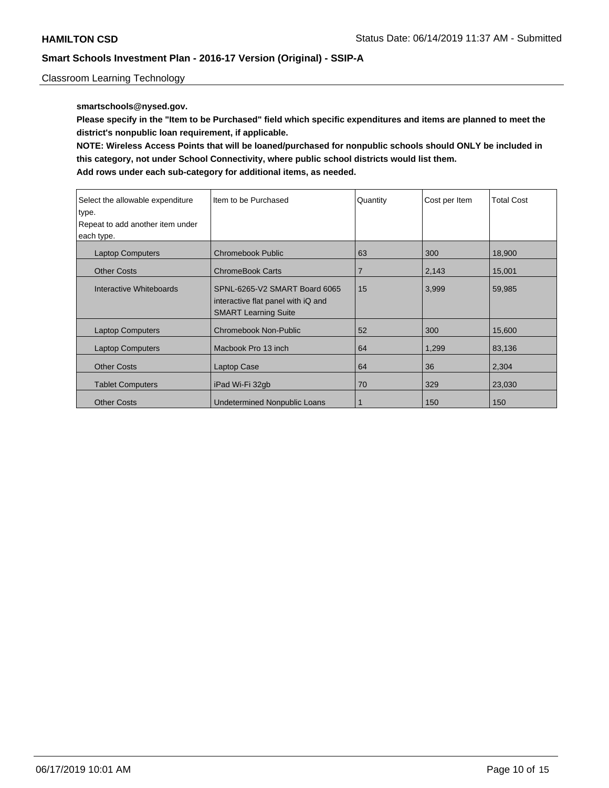Classroom Learning Technology

### **smartschools@nysed.gov.**

**Please specify in the "Item to be Purchased" field which specific expenditures and items are planned to meet the district's nonpublic loan requirement, if applicable.**

**NOTE: Wireless Access Points that will be loaned/purchased for nonpublic schools should ONLY be included in this category, not under School Connectivity, where public school districts would list them.**

| Select the allowable expenditure | Item to be Purchased                                                                               | Quantity       | Cost per Item | <b>Total Cost</b> |
|----------------------------------|----------------------------------------------------------------------------------------------------|----------------|---------------|-------------------|
| type.                            |                                                                                                    |                |               |                   |
| Repeat to add another item under |                                                                                                    |                |               |                   |
| each type.                       |                                                                                                    |                |               |                   |
| <b>Laptop Computers</b>          | Chromebook Public                                                                                  | 63             | 300           | 18,900            |
| <b>Other Costs</b>               | <b>ChromeBook Carts</b>                                                                            | $\overline{7}$ | 2,143         | 15,001            |
| Interactive Whiteboards          | SPNL-6265-V2 SMART Board 6065<br>interactive flat panel with iQ and<br><b>SMART Learning Suite</b> | 15             | 3,999         | 59,985            |
| <b>Laptop Computers</b>          | <b>Chromebook Non-Public</b>                                                                       | 52             | 300           | 15,600            |
| <b>Laptop Computers</b>          | Macbook Pro 13 inch                                                                                | 64             | 1,299         | 83,136            |
| <b>Other Costs</b>               | Laptop Case                                                                                        | 64             | 36            | 2,304             |
| <b>Tablet Computers</b>          | iPad Wi-Fi 32gb                                                                                    | 70             | 329           | 23,030            |
| <b>Other Costs</b>               | Undetermined Nonpublic Loans                                                                       |                | 150           | 150               |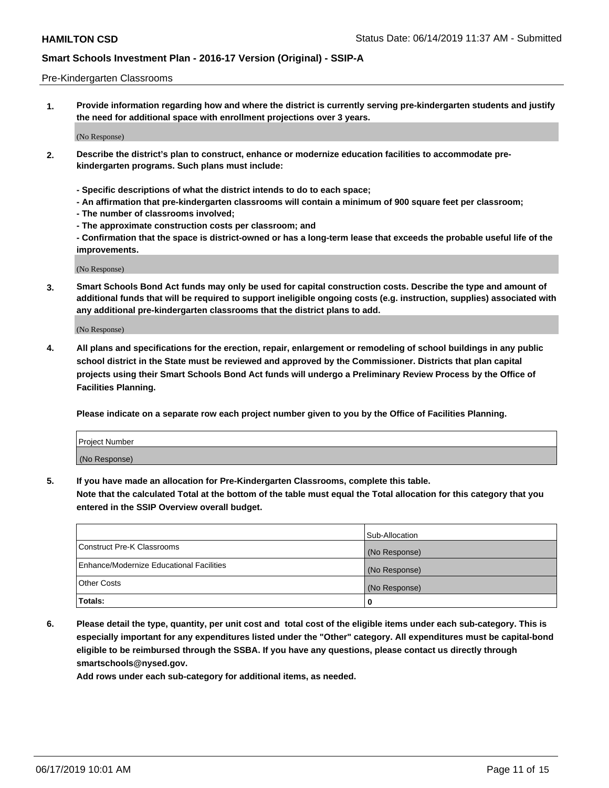#### Pre-Kindergarten Classrooms

**1. Provide information regarding how and where the district is currently serving pre-kindergarten students and justify the need for additional space with enrollment projections over 3 years.**

(No Response)

- **2. Describe the district's plan to construct, enhance or modernize education facilities to accommodate prekindergarten programs. Such plans must include:**
	- **Specific descriptions of what the district intends to do to each space;**
	- **An affirmation that pre-kindergarten classrooms will contain a minimum of 900 square feet per classroom;**
	- **The number of classrooms involved;**
	- **The approximate construction costs per classroom; and**
	- **Confirmation that the space is district-owned or has a long-term lease that exceeds the probable useful life of the improvements.**

(No Response)

**3. Smart Schools Bond Act funds may only be used for capital construction costs. Describe the type and amount of additional funds that will be required to support ineligible ongoing costs (e.g. instruction, supplies) associated with any additional pre-kindergarten classrooms that the district plans to add.**

(No Response)

**4. All plans and specifications for the erection, repair, enlargement or remodeling of school buildings in any public school district in the State must be reviewed and approved by the Commissioner. Districts that plan capital projects using their Smart Schools Bond Act funds will undergo a Preliminary Review Process by the Office of Facilities Planning.**

**Please indicate on a separate row each project number given to you by the Office of Facilities Planning.**

| Project Number |  |
|----------------|--|
| (No Response)  |  |
|                |  |

**5. If you have made an allocation for Pre-Kindergarten Classrooms, complete this table.**

**Note that the calculated Total at the bottom of the table must equal the Total allocation for this category that you entered in the SSIP Overview overall budget.**

|                                          | Sub-Allocation |
|------------------------------------------|----------------|
| Construct Pre-K Classrooms               | (No Response)  |
| Enhance/Modernize Educational Facilities | (No Response)  |
| <b>Other Costs</b>                       | (No Response)  |
| Totals:                                  | 0              |

**6. Please detail the type, quantity, per unit cost and total cost of the eligible items under each sub-category. This is especially important for any expenditures listed under the "Other" category. All expenditures must be capital-bond eligible to be reimbursed through the SSBA. If you have any questions, please contact us directly through smartschools@nysed.gov.**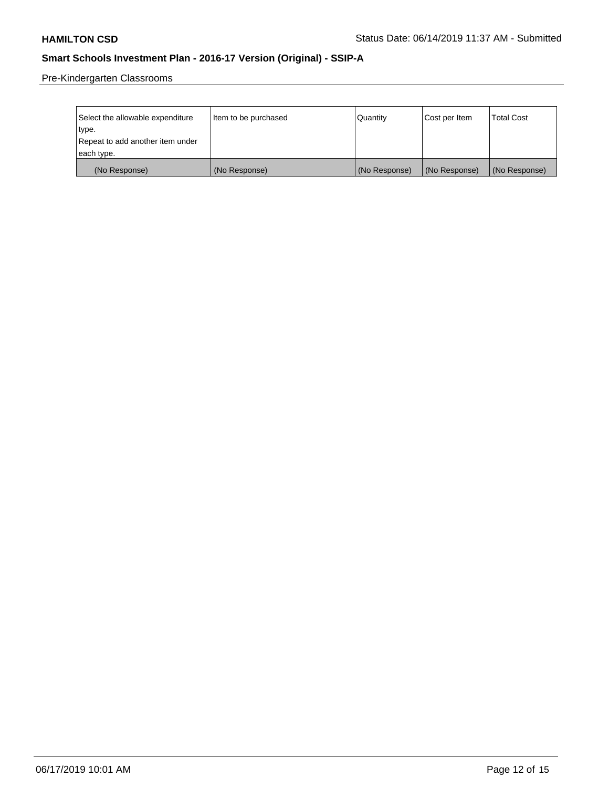Pre-Kindergarten Classrooms

| Select the allowable expenditure | Item to be purchased | Quantity      | Cost per Item | <b>Total Cost</b> |
|----------------------------------|----------------------|---------------|---------------|-------------------|
| type.                            |                      |               |               |                   |
| Repeat to add another item under |                      |               |               |                   |
| each type.                       |                      |               |               |                   |
| (No Response)                    | (No Response)        | (No Response) | (No Response) | (No Response)     |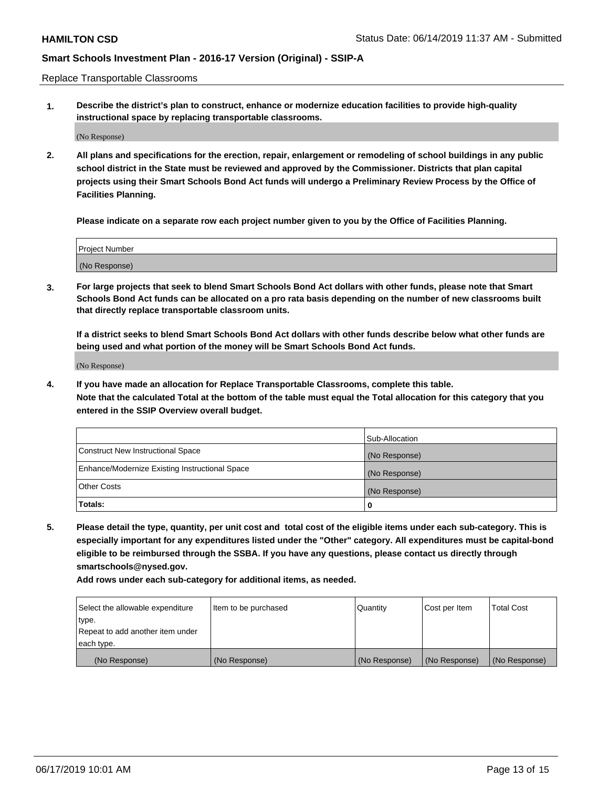Replace Transportable Classrooms

**1. Describe the district's plan to construct, enhance or modernize education facilities to provide high-quality instructional space by replacing transportable classrooms.**

(No Response)

**2. All plans and specifications for the erection, repair, enlargement or remodeling of school buildings in any public school district in the State must be reviewed and approved by the Commissioner. Districts that plan capital projects using their Smart Schools Bond Act funds will undergo a Preliminary Review Process by the Office of Facilities Planning.**

**Please indicate on a separate row each project number given to you by the Office of Facilities Planning.**

| Project Number |  |
|----------------|--|
|                |  |
|                |  |
|                |  |
|                |  |
| (No Response)  |  |
|                |  |
|                |  |
|                |  |

**3. For large projects that seek to blend Smart Schools Bond Act dollars with other funds, please note that Smart Schools Bond Act funds can be allocated on a pro rata basis depending on the number of new classrooms built that directly replace transportable classroom units.**

**If a district seeks to blend Smart Schools Bond Act dollars with other funds describe below what other funds are being used and what portion of the money will be Smart Schools Bond Act funds.**

(No Response)

**4. If you have made an allocation for Replace Transportable Classrooms, complete this table. Note that the calculated Total at the bottom of the table must equal the Total allocation for this category that you entered in the SSIP Overview overall budget.**

|                                                | Sub-Allocation |
|------------------------------------------------|----------------|
| Construct New Instructional Space              | (No Response)  |
| Enhance/Modernize Existing Instructional Space | (No Response)  |
| <b>Other Costs</b>                             | (No Response)  |
| Totals:                                        | 0              |

**5. Please detail the type, quantity, per unit cost and total cost of the eligible items under each sub-category. This is especially important for any expenditures listed under the "Other" category. All expenditures must be capital-bond eligible to be reimbursed through the SSBA. If you have any questions, please contact us directly through smartschools@nysed.gov.**

| Select the allowable expenditure | Item to be purchased | l Quantitv    | Cost per Item | <b>Total Cost</b> |
|----------------------------------|----------------------|---------------|---------------|-------------------|
| type.                            |                      |               |               |                   |
| Repeat to add another item under |                      |               |               |                   |
| each type.                       |                      |               |               |                   |
| (No Response)                    | (No Response)        | (No Response) | (No Response) | (No Response)     |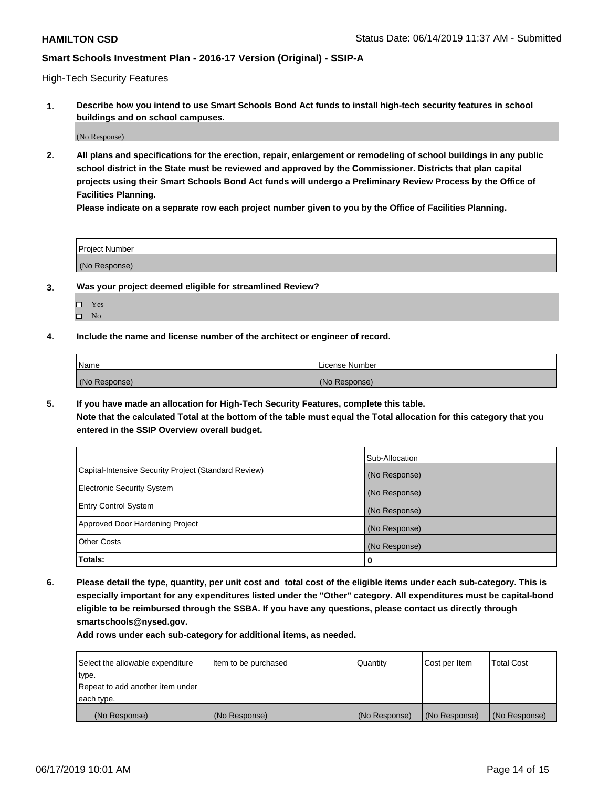High-Tech Security Features

**1. Describe how you intend to use Smart Schools Bond Act funds to install high-tech security features in school buildings and on school campuses.**

(No Response)

**2. All plans and specifications for the erection, repair, enlargement or remodeling of school buildings in any public school district in the State must be reviewed and approved by the Commissioner. Districts that plan capital projects using their Smart Schools Bond Act funds will undergo a Preliminary Review Process by the Office of Facilities Planning.** 

**Please indicate on a separate row each project number given to you by the Office of Facilities Planning.**

| <b>Project Number</b> |  |
|-----------------------|--|
| (No Response)         |  |

- **3. Was your project deemed eligible for streamlined Review?**
	- Yes  $\square$  No
	-
- **4. Include the name and license number of the architect or engineer of record.**

| Name          | License Number |
|---------------|----------------|
| (No Response) | (No Response)  |

**5. If you have made an allocation for High-Tech Security Features, complete this table.**

**Note that the calculated Total at the bottom of the table must equal the Total allocation for this category that you entered in the SSIP Overview overall budget.**

|                                                      | Sub-Allocation |
|------------------------------------------------------|----------------|
| Capital-Intensive Security Project (Standard Review) | (No Response)  |
| <b>Electronic Security System</b>                    | (No Response)  |
| <b>Entry Control System</b>                          | (No Response)  |
| Approved Door Hardening Project                      | (No Response)  |
| <b>Other Costs</b>                                   | (No Response)  |
| Totals:                                              | 0              |

**6. Please detail the type, quantity, per unit cost and total cost of the eligible items under each sub-category. This is especially important for any expenditures listed under the "Other" category. All expenditures must be capital-bond eligible to be reimbursed through the SSBA. If you have any questions, please contact us directly through smartschools@nysed.gov.**

| Select the allowable expenditure | Item to be purchased | l Quantitv    | Cost per Item | <b>Total Cost</b> |
|----------------------------------|----------------------|---------------|---------------|-------------------|
| type.                            |                      |               |               |                   |
| Repeat to add another item under |                      |               |               |                   |
| each type.                       |                      |               |               |                   |
| (No Response)                    | (No Response)        | (No Response) | (No Response) | (No Response)     |